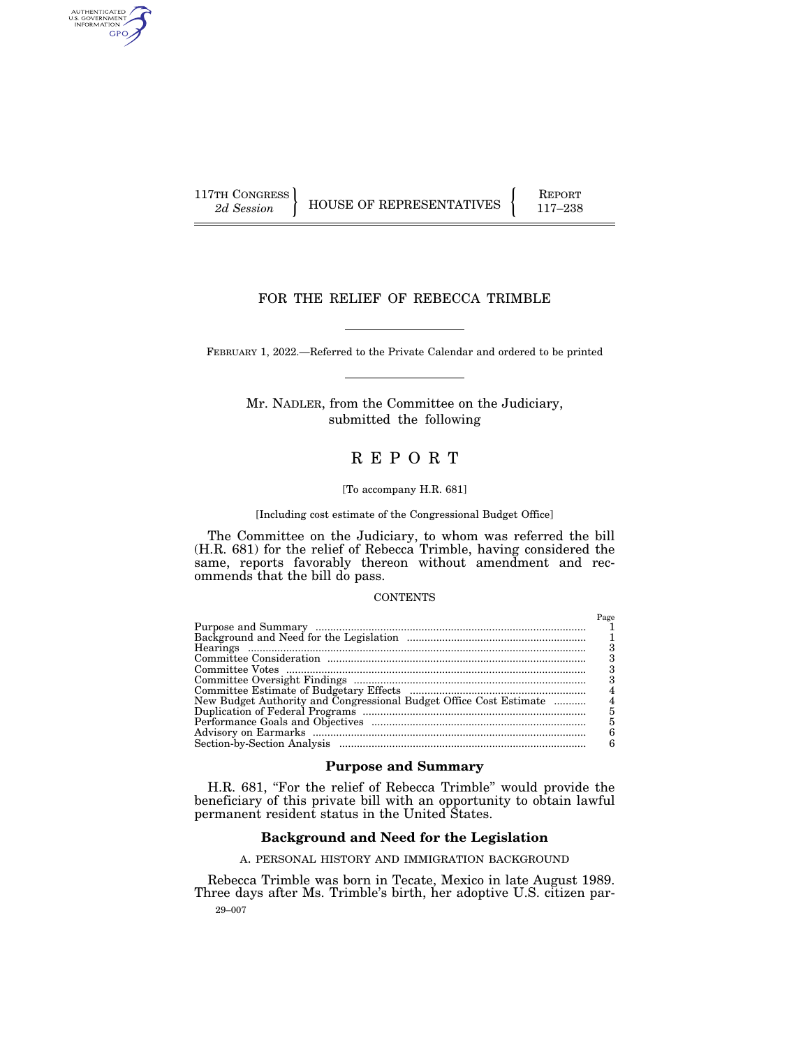AUTHENTICATED<br>U.S. GOVERNMENT<br>INFORMATION GPO

117TH CONGRESS HOUSE OF REPRESENTATIVES FEPORT 117-238

# FOR THE RELIEF OF REBECCA TRIMBLE

FEBRUARY 1, 2022.—Referred to the Private Calendar and ordered to be printed

Mr. NADLER, from the Committee on the Judiciary, submitted the following

# R E P O R T

### [To accompany H.R. 681]

### [Including cost estimate of the Congressional Budget Office]

The Committee on the Judiciary, to whom was referred the bill (H.R. 681) for the relief of Rebecca Trimble, having considered the same, reports favorably thereon without amendment and recommends that the bill do pass.

### **CONTENTS**

|                                                                    | Page |
|--------------------------------------------------------------------|------|
|                                                                    |      |
|                                                                    |      |
|                                                                    |      |
|                                                                    |      |
|                                                                    |      |
|                                                                    |      |
|                                                                    |      |
| New Budget Authority and Congressional Budget Office Cost Estimate |      |
|                                                                    |      |
|                                                                    |      |
|                                                                    |      |
|                                                                    |      |

# **Purpose and Summary**

H.R. 681, "For the relief of Rebecca Trimble" would provide the beneficiary of this private bill with an opportunity to obtain lawful permanent resident status in the United States.

# **Background and Need for the Legislation**

A. PERSONAL HISTORY AND IMMIGRATION BACKGROUND

29–007 Rebecca Trimble was born in Tecate, Mexico in late August 1989. Three days after Ms. Trimble's birth, her adoptive U.S. citizen par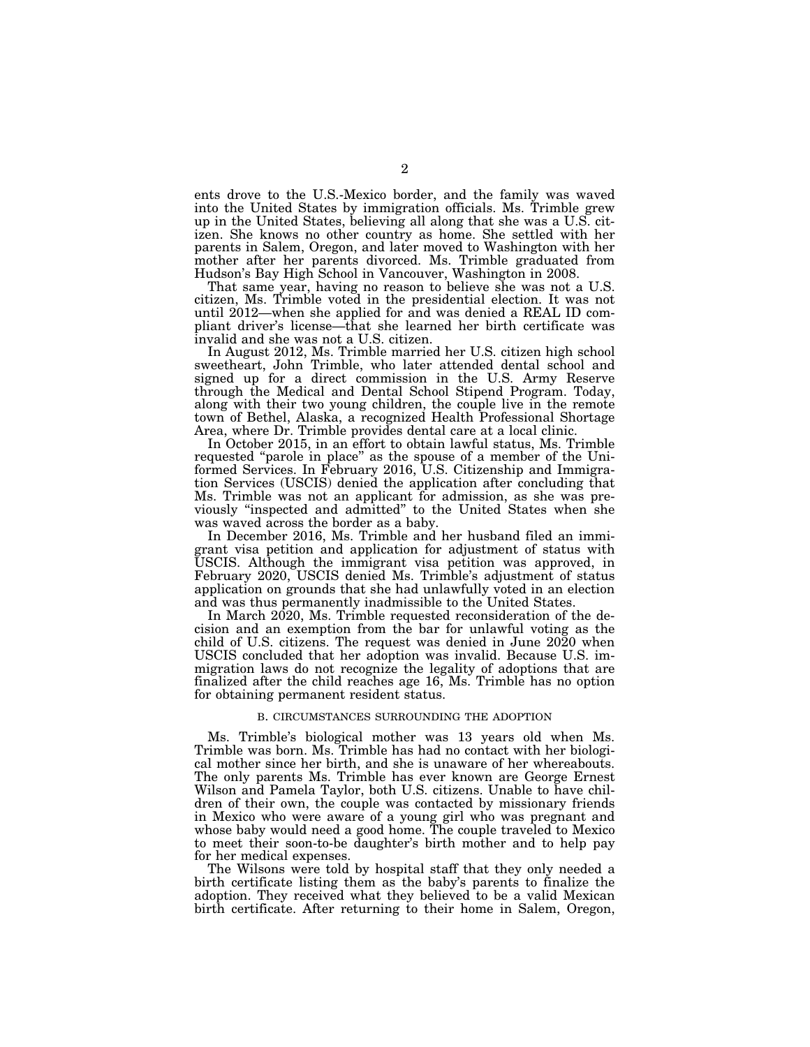ents drove to the U.S.-Mexico border, and the family was waved into the United States by immigration officials. Ms. Trimble grew up in the United States, believing all along that she was a U.S. citizen. She knows no other country as home. She settled with her parents in Salem, Oregon, and later moved to Washington with her mother after her parents divorced. Ms. Trimble graduated from Hudson's Bay High School in Vancouver, Washington in 2008.

That same year, having no reason to believe she was not a U.S. citizen, Ms. Trimble voted in the presidential election. It was not until 2012—when she applied for and was denied a REAL ID compliant driver's license—that she learned her birth certificate was invalid and she was not a U.S. citizen.

In August 2012, Ms. Trimble married her U.S. citizen high school sweetheart, John Trimble, who later attended dental school and signed up for a direct commission in the U.S. Army Reserve through the Medical and Dental School Stipend Program. Today, along with their two young children, the couple live in the remote town of Bethel, Alaska, a recognized Health Professional Shortage Area, where Dr. Trimble provides dental care at a local clinic.

In October 2015, in an effort to obtain lawful status, Ms. Trimble requested ''parole in place'' as the spouse of a member of the Uniformed Services. In February 2016, U.S. Citizenship and Immigration Services (USCIS) denied the application after concluding that Ms. Trimble was not an applicant for admission, as she was previously ''inspected and admitted'' to the United States when she was waved across the border as a baby.

In December 2016, Ms. Trimble and her husband filed an immigrant visa petition and application for adjustment of status with USCIS. Although the immigrant visa petition was approved, in February 2020, USCIS denied Ms. Trimble's adjustment of status application on grounds that she had unlawfully voted in an election and was thus permanently inadmissible to the United States.

In March 2020, Ms. Trimble requested reconsideration of the decision and an exemption from the bar for unlawful voting as the child of U.S. citizens. The request was denied in June 2020 when USCIS concluded that her adoption was invalid. Because U.S. immigration laws do not recognize the legality of adoptions that are finalized after the child reaches age 16, Ms. Trimble has no option for obtaining permanent resident status.

#### B. CIRCUMSTANCES SURROUNDING THE ADOPTION

Ms. Trimble's biological mother was 13 years old when Ms. Trimble was born. Ms. Trimble has had no contact with her biological mother since her birth, and she is unaware of her whereabouts. The only parents Ms. Trimble has ever known are George Ernest Wilson and Pamela Taylor, both U.S. citizens. Unable to have children of their own, the couple was contacted by missionary friends in Mexico who were aware of a young girl who was pregnant and whose baby would need a good home. The couple traveled to Mexico to meet their soon-to-be daughter's birth mother and to help pay for her medical expenses.

The Wilsons were told by hospital staff that they only needed a birth certificate listing them as the baby's parents to finalize the adoption. They received what they believed to be a valid Mexican birth certificate. After returning to their home in Salem, Oregon,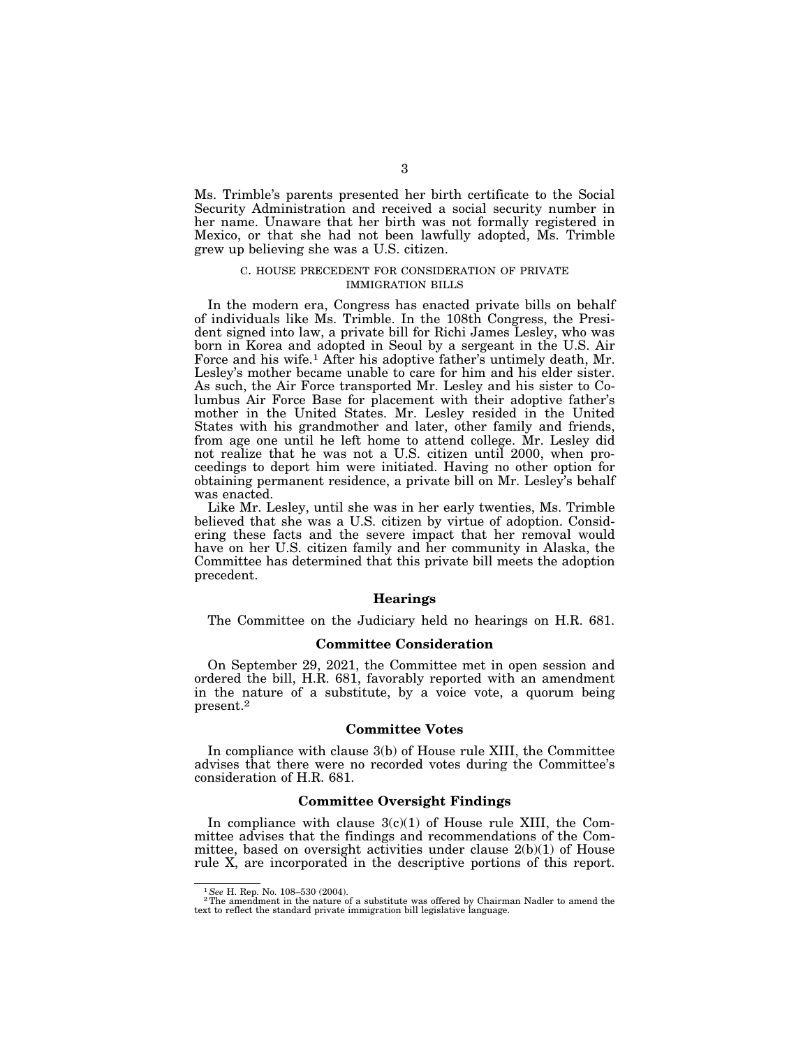Ms. Trimble's parents presented her birth certificate to the Social Security Administration and received a social security number in her name. Unaware that her birth was not formally registered in Mexico, or that she had not been lawfully adopted, Ms. Trimble grew up believing she was a U.S. citizen.

# C. HOUSE PRECEDENT FOR CONSIDERATION OF PRIVATE IMMIGRATION BILLS

In the modern era, Congress has enacted private bills on behalf of individuals like Ms. Trimble. In the 108th Congress, the President signed into law, a private bill for Richi James Lesley, who was born in Korea and adopted in Seoul by a sergeant in the U.S. Air Force and his wife.<sup>1</sup> After his adoptive father's untimely death, Mr. Lesley's mother became unable to care for him and his elder sister. As such, the Air Force transported Mr. Lesley and his sister to Columbus Air Force Base for placement with their adoptive father's mother in the United States. Mr. Lesley resided in the United States with his grandmother and later, other family and friends, from age one until he left home to attend college. Mr. Lesley did not realize that he was not a U.S. citizen until 2000, when proceedings to deport him were initiated. Having no other option for obtaining permanent residence, a private bill on Mr. Lesley's behalf was enacted.

Like Mr. Lesley, until she was in her early twenties, Ms. Trimble believed that she was a U.S. citizen by virtue of adoption. Considering these facts and the severe impact that her removal would have on her U.S. citizen family and her community in Alaska, the Committee has determined that this private bill meets the adoption precedent.

#### **Hearings**

The Committee on the Judiciary held no hearings on H.R. 681.

# **Committee Consideration**

On September 29, 2021, the Committee met in open session and ordered the bill, H.R. 681, favorably reported with an amendment in the nature of a substitute, by a voice vote, a quorum being present.2

#### **Committee Votes**

In compliance with clause 3(b) of House rule XIII, the Committee advises that there were no recorded votes during the Committee's consideration of H.R. 681.

#### **Committee Oversight Findings**

In compliance with clause  $3(c)(1)$  of House rule XIII, the Committee advises that the findings and recommendations of the Committee, based on oversight activities under clause 2(b)(1) of House rule X, are incorporated in the descriptive portions of this report.

<sup>&</sup>lt;sup>1</sup>See H. Rep. No. 108–530 (2004).<br><sup>2</sup>The amendment in the nature of a substitute was offered by Chairman Nadler to amend the text to reflect the standard private immigration bill legislative language.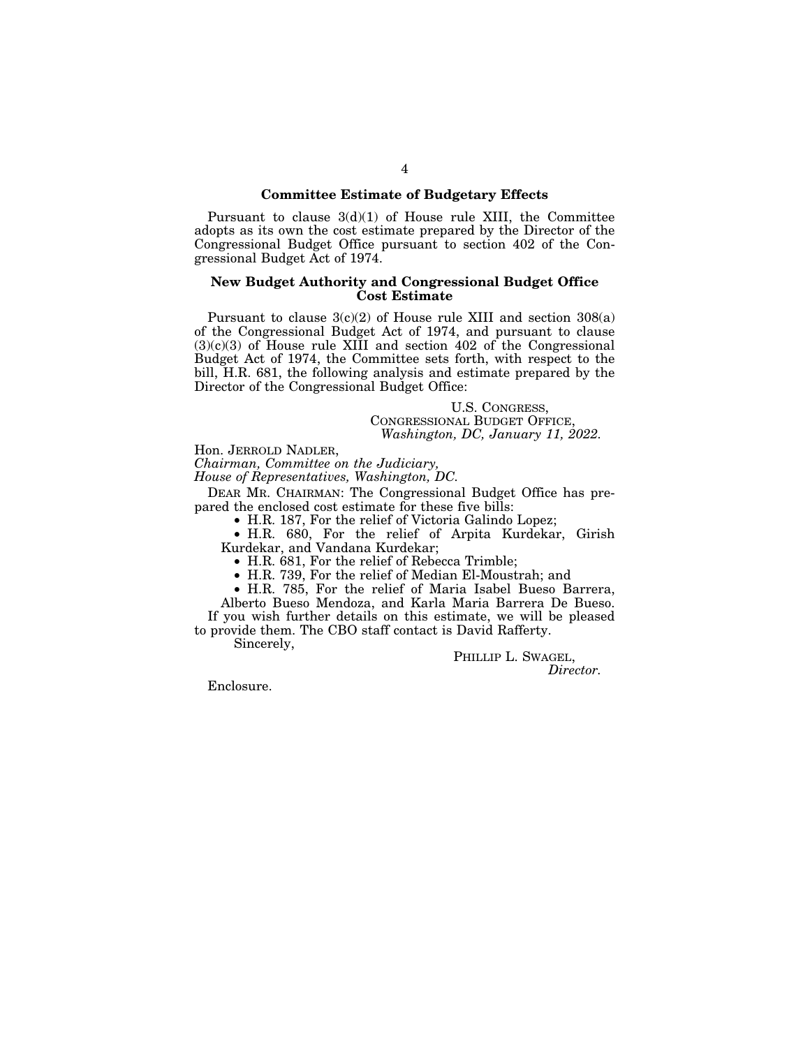# **Committee Estimate of Budgetary Effects**

Pursuant to clause  $3(d)(1)$  of House rule XIII, the Committee adopts as its own the cost estimate prepared by the Director of the Congressional Budget Office pursuant to section 402 of the Congressional Budget Act of 1974.

## **New Budget Authority and Congressional Budget Office Cost Estimate**

Pursuant to clause  $3(c)(2)$  of House rule XIII and section  $308(a)$ of the Congressional Budget Act of 1974, and pursuant to clause  $(3)(c)(3)$  of House rule XIII and section 402 of the Congressional Budget Act of 1974, the Committee sets forth, with respect to the bill, H.R. 681, the following analysis and estimate prepared by the Director of the Congressional Budget Office:

U.S. CONGRESS, CONGRESSIONAL BUDGET OFFICE, *Washington, DC, January 11, 2022.* 

Hon. JERROLD NADLER,

*Chairman, Committee on the Judiciary,* 

*House of Representatives, Washington, DC.* 

DEAR MR. CHAIRMAN: The Congressional Budget Office has prepared the enclosed cost estimate for these five bills:

• H.R. 187, For the relief of Victoria Galindo Lopez;

• H.R. 680, For the relief of Arpita Kurdekar, Girish Kurdekar, and Vandana Kurdekar;

• H.R. 681, For the relief of Rebecca Trimble;

• H.R. 739, For the relief of Median El-Moustrah; and

• H.R. 785, For the relief of Maria Isabel Bueso Barrera, Alberto Bueso Mendoza, and Karla Maria Barrera De Bueso.

If you wish further details on this estimate, we will be pleased to provide them. The CBO staff contact is David Rafferty.

Sincerely,

PHILLIP L. SWAGEL, *Director.* 

Enclosure.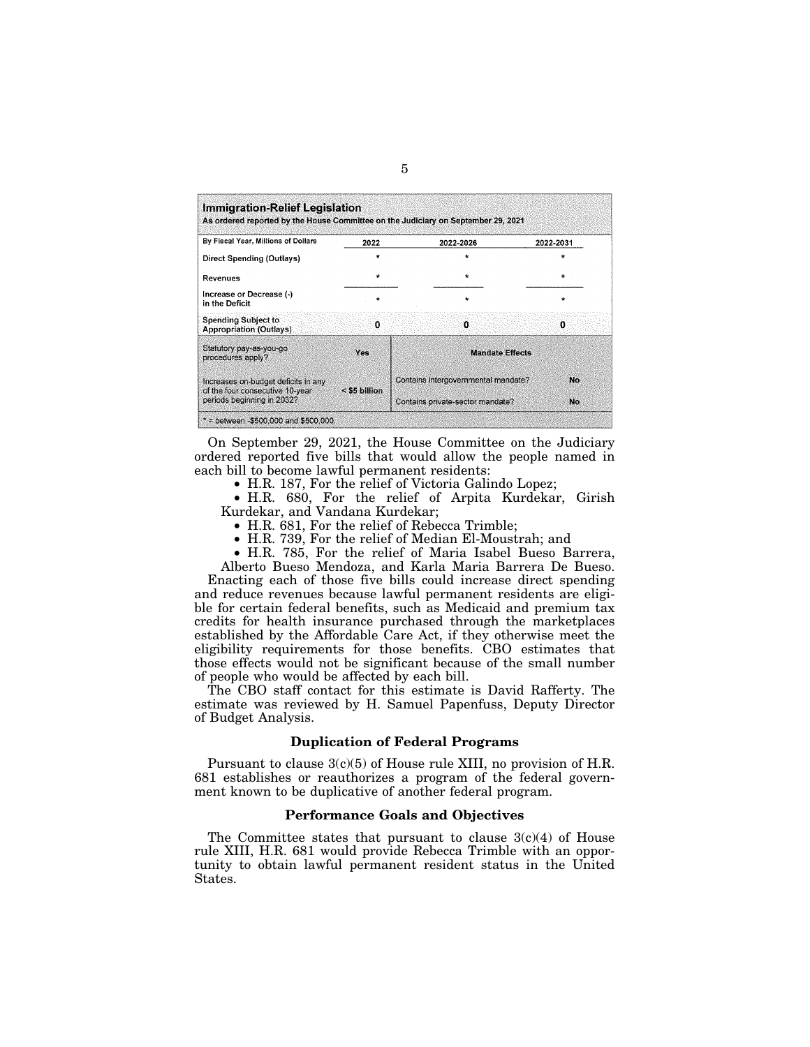| By Fiscal Year, Millions of Dollars                                    | 2022            | 2022-2026                           | 2022-2031 |
|------------------------------------------------------------------------|-----------------|-------------------------------------|-----------|
| Direct Spending (Outlays)                                              |                 |                                     |           |
| Revenues                                                               |                 | $\star$                             | $\star$   |
| Increase or Decrease (-)<br>in the Deficit                             | $\star$         | $\star$                             | ÷         |
| <b>Spending Subject to</b><br><b>Appropriation (Outlays)</b>           | 0               | $\Omega$                            | n         |
| Statutory pay-as-you-go<br>procedures apply?                           | Vos             | <b>Mandate Effects</b>              |           |
| Increases on-budget deficits in any<br>of the four consecutive 10-year | $<$ \$5 billion | Contains intergovernmental mandate? | No.       |
| periods beginning in 2032?                                             |                 | Contains private-sector mandate?    | No.       |

On September 29, 2021, the House Committee on the Judiciary ordered reported five bills that would allow the people named in each bill to become lawful permanent residents:

• H.R. 187, For the relief of Victoria Galindo Lopez;

• H.R. 680, For the relief of Arpita Kurdekar, Girish Kurdekar, and Vandana Kurdekar;

• H.R. 681, For the relief of Rebecca Trimble;

• H.R. 739, For the relief of Median El-Moustrah; and

• H.R. 785, For the relief of Maria Isabel Bueso Barrera,

Alberto Bueso Mendoza, and Karla Maria Barrera De Bueso. Enacting each of those five bills could increase direct spending and reduce revenues because lawful permanent residents are eligible for certain federal benefits, such as Medicaid and premium tax credits for health insurance purchased through the marketplaces established by the Affordable Care Act, if they otherwise meet the eligibility requirements for those benefits. CBO estimates that those effects would not be significant because of the small number of people who would be affected by each bill.

The CBO staff contact for this estimate is David Rafferty. The estimate was reviewed by H. Samuel Papenfuss, Deputy Director of Budget Analysis.

### **Duplication of Federal Programs**

Pursuant to clause 3(c)(5) of House rule XIII, no provision of H.R. 681 establishes or reauthorizes a program of the federal government known to be duplicative of another federal program.

## **Performance Goals and Objectives**

The Committee states that pursuant to clause  $3(c)(4)$  of House rule XIII, H.R. 681 would provide Rebecca Trimble with an opportunity to obtain lawful permanent resident status in the United States.